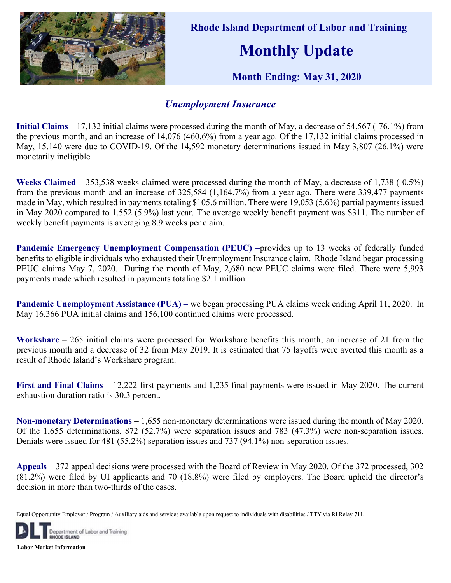

 Rhode Island Department of Labor and Training Monthly Update

Month Ending: May 31, 2020

## Unemployment Insurance

Initial Claims – 17,132 initial claims were processed during the month of May, a decrease of 54,567 (-76.1%) from the previous month, and an increase of 14,076 (460.6%) from a year ago. Of the 17,132 initial claims processed in May, 15,140 were due to COVID-19. Of the 14,592 monetary determinations issued in May 3,807 (26.1%) were monetarily ineligible

Weeks Claimed – 353,538 weeks claimed were processed during the month of May, a decrease of 1,738 (-0.5%) from the previous month and an increase of 325,584 (1,164.7%) from a year ago. There were 339,477 payments made in May, which resulted in payments totaling \$105.6 million. There were 19,053 (5.6%) partial payments issued in May 2020 compared to 1,552 (5.9%) last year. The average weekly benefit payment was \$311. The number of weekly benefit payments is averaging 8.9 weeks per claim.

Pandemic Emergency Unemployment Compensation (PEUC) -provides up to 13 weeks of federally funded benefits to eligible individuals who exhausted their Unemployment Insurance claim. Rhode Island began processing PEUC claims May 7, 2020. During the month of May, 2,680 new PEUC claims were filed. There were 5,993 payments made which resulted in payments totaling \$2.1 million.

Pandemic Unemployment Assistance (PUA) – we began processing PUA claims week ending April 11, 2020. In May 16,366 PUA initial claims and 156,100 continued claims were processed.

Workshare – 265 initial claims were processed for Workshare benefits this month, an increase of 21 from the previous month and a decrease of 32 from May 2019. It is estimated that 75 layoffs were averted this month as a result of Rhode Island's Workshare program.

First and Final Claims – 12,222 first payments and 1,235 final payments were issued in May 2020. The current exhaustion duration ratio is 30.3 percent.

Non-monetary Determinations – 1,655 non-monetary determinations were issued during the month of May 2020. Of the 1,655 determinations, 872 (52.7%) were separation issues and 783 (47.3%) were non-separation issues. Denials were issued for 481 (55.2%) separation issues and 737 (94.1%) non-separation issues.

Appeals – 372 appeal decisions were processed with the Board of Review in May 2020. Of the 372 processed, 302 (81.2%) were filed by UI applicants and 70 (18.8%) were filed by employers. The Board upheld the director's decision in more than two-thirds of the cases.

Equal Opportunity Employer / Program / Auxiliary aids and services available upon request to individuals with disabilities / TTY via RI Relay 711.